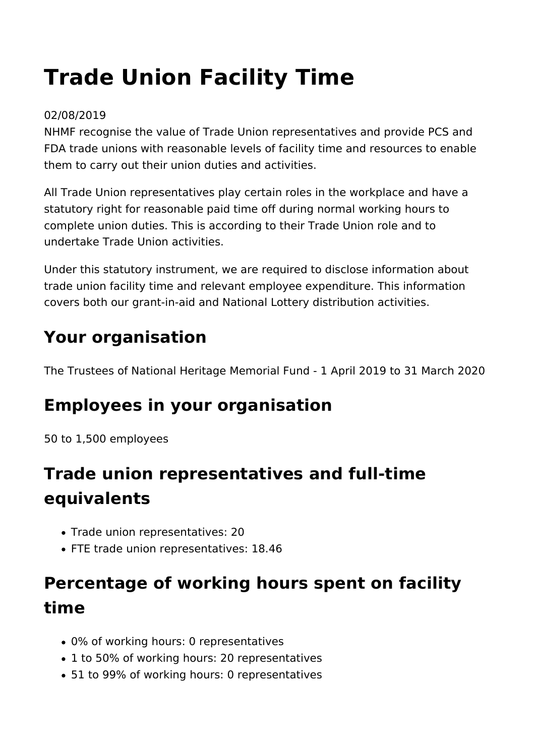# **Trade Union Facility Time**

#### 02/08/2019

NHMF recognise the value of Trade Union representatives and provide PCS and FDA trade unions with reasonable levels of facility time and resources to enable them to carry out their union duties and activities.

All Trade Union representatives play certain roles in the workplace and have a statutory right for reasonable paid time off during normal working hours to complete union duties. This is according to their Trade Union role and to undertake Trade Union activities.

Under this statutory instrument, we are required to disclose information about trade union facility time and relevant employee expenditure. This information covers both our grant-in-aid and National Lottery distribution activities.

## **Your organisation**

The Trustees of National Heritage Memorial Fund - 1 April 2019 to 31 March 2020

# **Employees in your organisation**

50 to 1,500 employees

# **Trade union representatives and full-time equivalents**

- Trade union representatives: 20
- FTE trade union representatives: 18.46

# **Percentage of working hours spent on facility time**

- 0% of working hours: 0 representatives
- 1 to 50% of working hours: 20 representatives
- 51 to 99% of working hours: 0 representatives